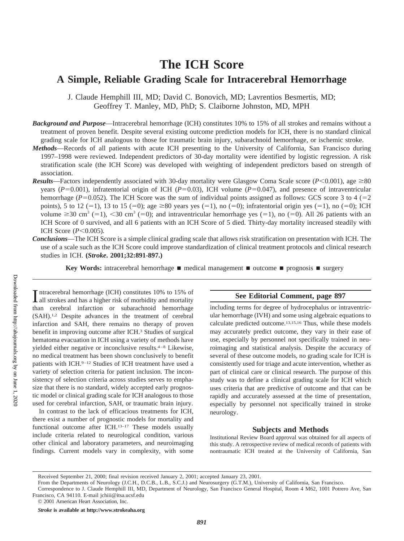## **The ICH Score**

### **A Simple, Reliable Grading Scale for Intracerebral Hemorrhage**

J. Claude Hemphill III, MD; David C. Bonovich, MD; Lavrentios Besmertis, MD; Geoffrey T. Manley, MD, PhD; S. Claiborne Johnston, MD, MPH

- *Background and Purpose*—Intracerebral hemorrhage (ICH) constitutes 10% to 15% of all strokes and remains without a treatment of proven benefit. Despite several existing outcome prediction models for ICH, there is no standard clinical grading scale for ICH analogous to those for traumatic brain injury, subarachnoid hemorrhage, or ischemic stroke.
- *Methods*—Records of all patients with acute ICH presenting to the University of California, San Francisco during 1997–1998 were reviewed. Independent predictors of 30-day mortality were identified by logistic regression. A risk stratification scale (the ICH Score) was developed with weighting of independent predictors based on strength of association.
- *Results*—Factors independently associated with 30-day mortality were Glasgow Coma Scale score ( $P$ <0.001), age  $\geq$ 80 years ( $P=0.001$ ), infratentorial origin of ICH ( $P=0.03$ ), ICH volume ( $P=0.047$ ), and presence of intraventricular hemorrhage ( $P=0.052$ ). The ICH Score was the sum of individual points assigned as follows: GCS score 3 to 4 ( $=2$ ) points), 5 to 12 (=1), 13 to 15 (=0); age  $\geq 80$  years yes (=1), no (=0); infratentorial origin yes (=1), no (=0); ICH volume  $\geq$ 30 cm<sup>3</sup> (=1), <30 cm<sup>3</sup> (=0); and intraventricular hemorrhage yes (=1), no (=0). All 26 patients with an ICH Score of 0 survived, and all 6 patients with an ICH Score of 5 died. Thirty-day mortality increased steadily with ICH Score ( $P$ <0.005).
- *Conclusions*—The ICH Score is a simple clinical grading scale that allows risk stratification on presentation with ICH. The use of a scale such as the ICH Score could improve standardization of clinical treatment protocols and clinical research studies in ICH. **(***Stroke***. 2001;32:891-897.)**

**Key Words:** intracerebral hemorrhage **n** medical management **n** outcome **n** prognosis **n** surgery

Intracerebral hemorrhage (ICH) constitutes 10% to 15% of all strokes and has a higher risk of morbidity and mortality ntracerebral hemorrhage (ICH) constitutes 10% to 15% of than cerebral infarction or subarachnoid hemorrhage (SAH).1,2 Despite advances in the treatment of cerebral infarction and SAH, there remains no therapy of proven benefit in improving outcome after ICH.3 Studies of surgical hematoma evacuation in ICH using a variety of methods have yielded either negative or inconclusive results.4–8 Likewise, no medical treatment has been shown conclusively to benefit patients with ICH.9–12 Studies of ICH treatment have used a variety of selection criteria for patient inclusion. The inconsistency of selection criteria across studies serves to emphasize that there is no standard, widely accepted early prognostic model or clinical grading scale for ICH analogous to those used for cerebral infarction, SAH, or traumatic brain injury.

In contrast to the lack of efficacious treatments for ICH, there exist a number of prognostic models for mortality and functional outcome after ICH.13–17 These models usually include criteria related to neurological condition, various other clinical and laboratory parameters, and neuroimaging findings. Current models vary in complexity, with some

#### **See Editorial Comment, page 897**

including terms for degree of hydrocephalus or intraventricular hemorrhage (IVH) and some using algebraic equations to calculate predicted outcome.13,15,16 Thus, while these models may accurately predict outcome, they vary in their ease of use, especially by personnel not specifically trained in neuroimaging and statistical analysis. Despite the accuracy of several of these outcome models, no grading scale for ICH is consistently used for triage and acute intervention, whether as part of clinical care or clinical research. The purpose of this study was to define a clinical grading scale for ICH which uses criteria that are predictive of outcome and that can be rapidly and accurately assessed at the time of presentation, especially by personnel not specifically trained in stroke neurology.

#### **Subjects and Methods**

Institutional Review Board approval was obtained for all aspects of this study. A retrospective review of medical records of patients with nontraumatic ICH treated at the University of California, San

Received September 21, 2000; final revision received January 2, 2001; accepted January 23, 2001.

From the Departments of Neurology (J.C.H., D.C.B., L.B., S.C.J.) and Neurosurgery (G.T.M.), University of California, San Francisco.

Correspondence to J. Claude Hemphill III, MD, Department of Neurology, San Francisco General Hospital, Room 4 M62, 1001 Potrero Ave, San Francisco, CA 94110. E-mail jchiii@itsa.ucsf.edu

<sup>© 2001</sup> American Heart Association, Inc.

*Stroke* **is available at http://www.strokeaha.org**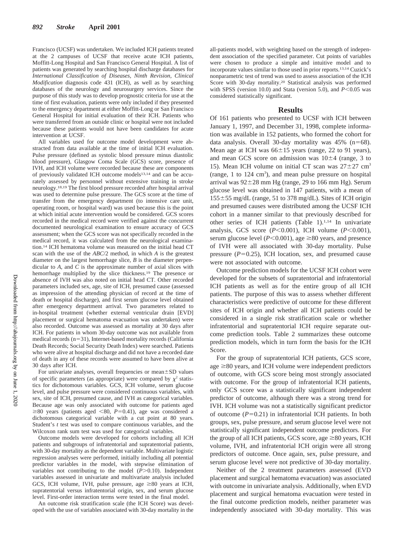Francisco (UCSF) was undertaken. We included ICH patients treated at the 2 campuses of UCSF that receive acute ICH patients, Moffitt-Long Hospital and San Francisco General Hospital. A list of patients was generated by searching hospital discharge databases for *International Classification of Diseases, Ninth Revision, Clinical Modification* diagnosis code 431 (ICH), as well as by searching databases of the neurology and neurosurgery services. Since the purpose of this study was to develop prognostic criteria for use at the time of first evaluation, patients were only included if they presented to the emergency department at either Moffitt-Long or San Francisco General Hospital for initial evaluation of their ICH. Patients who were transferred from an outside clinic or hospital were not included because these patients would not have been candidates for acute intervention at UCSF.

All variables used for outcome model development were abstracted from data available at the time of initial ICH evaluation. Pulse pressure (defined as systolic blood pressure minus diastolic blood pressure), Glasgow Coma Scale (GCS) score, presence of IVH, and ICH volume were recorded because these are components of previously validated ICH outcome models<sup>13,14</sup> and can be accurately assessed by personnel without extensive training in stroke neurology.18,19 The first blood pressure recorded after hospital arrival was used to determine pulse pressure. The GCS score at the time of transfer from the emergency department (to intensive care unit, operating room, or hospital ward) was used because this is the point at which initial acute intervention would be considered. GCS scores recorded in the medical record were verified against the concurrent documented neurological examination to ensure accuracy of GCS assessment; when the GCS score was not specifically recorded in the medical record, it was calculated from the neurological examination.14 ICH hematoma volume was measured on the initial head CT scan with the use of the *ABC*/2 method, in which *A* is the greatest diameter on the largest hemorrhage slice, *B* is the diameter perpendicular to *A*, and *C* is the approximate number of axial slices with hemorrhage multiplied by the slice thickness.<sup>19</sup> The presence or absence of IVH was also noted on initial head CT. Other recorded parameters included sex, age, site of ICH, presumed cause (assessed as impression of the attending physician of record at the time of death or hospital discharge), and first serum glucose level obtained after emergency department arrival. Two parameters related to in-hospital treatment (whether external ventricular drain [EVD] placement or surgical hematoma evacuation was undertaken) were also recorded. Outcome was assessed as mortality at 30 days after ICH. For patients in whom 30-day outcome was not available from medical records  $(n=31)$ , Internet-based mortality records (California Death Records; Social Security Death Index) were searched. Patients who were alive at hospital discharge and did not have a recorded date of death in any of these records were assumed to have been alive at 30 days after ICH.

For univariate analyses, overall frequencies or mean $\pm$ SD values of specific parameters (as appropriate) were compared by  $\chi^2$  statistics for dichotomous variables. GCS, ICH volume, serum glucose level, and pulse pressure were considered continuous variables, with sex, site of ICH, presumed cause, and IVH as categorical variables. Because age was only associated with outcome for patients aged  $\geq$ 80 years (patients aged <80, *P*=0.41), age was considered a dichotomous categorical variable with a cut point at 80 years. Student's *t* test was used to compare continuous variables, and the Wilcoxon rank sum test was used for categorical variables.

Outcome models were developed for cohorts including all ICH patients and subgroups of infratentorial and supratentorial patients, with 30-day mortality as the dependent variable. Multivariate logistic regression analyses were performed, initially including all potential predictor variables in the model, with stepwise elimination of variables not contributing to the model  $(P>0.10)$ . Independent variables assessed in univariate and multivariate analysis included GCS, ICH volume, IVH, pulse pressure, age  $\geq 80$  years at ICH, supratentorial versus infratentorial origin, sex, and serum glucose level. First-order interaction terms were tested in the final model.

An outcome risk stratification scale (the ICH Score) was developed with the use of variables associated with 30-day mortality in the all-patients model, with weighting based on the strength of independent association of the specified parameter. Cut points of variables were chosen to produce a simple and intuitive model and to incorporate values similar to those used in prior reports.13,14 Cuzick's nonparametric test of trend was used to assess association of the ICH Score with 30-day mortality.20 Statistical analysis was performed with SPSS (version 10.0) and Stata (version 5.0), and  $P < 0.05$  was considered statistically significant.

#### **Results**

Of 161 patients who presented to UCSF with ICH between January 1, 1997, and December 31, 1998, complete information was available in 152 patients, who formed the cohort for data analysis. Overall 30-day mortality was  $45\%$  (n=68). Mean age at ICH was  $66±15$  years (range, 22 to 91 years), and mean GCS score on admission was  $10\pm4$  (range, 3 to 15). Mean ICH volume on initial CT scan was  $27\pm27$  cm<sup>3</sup> (range, 1 to 124 cm<sup>3</sup>), and mean pulse pressure on hospital arrival was  $92\pm28$  mm Hg (range, 29 to 166 mm Hg). Serum glucose level was obtained in 147 patients, with a mean of  $155\pm55$  mg/dL (range, 51 to 378 mg/dL). Sites of ICH origin and presumed causes were distributed among the UCSF ICH cohort in a manner similar to that previously described for other series of ICH patients (Table 1).1,14 In univariate analysis, GCS score  $(P<0.001)$ , ICH volume  $(P<0.001)$ , serum glucose level ( $P \le 0.001$ ), age  $\ge 80$  years, and presence of IVH were all associated with 30-day mortality. Pulse pressure  $(P=0.25)$ , ICH location, sex, and presumed cause were not associated with outcome.

Outcome prediction models for the UCSF ICH cohort were developed for the subsets of supratentorial and infratentorial ICH patients as well as for the entire group of all ICH patients. The purpose of this was to assess whether different characteristics were predictive of outcome for these different sites of ICH origin and whether all ICH patients could be considered in a single risk stratification scale or whether infratentorial and supratentorial ICH require separate outcome prediction tools. Table 2 summarizes these outcome prediction models, which in turn form the basis for the ICH Score.

For the group of supratentorial ICH patients, GCS score, age  $\geq$ 80 years, and ICH volume were independent predictors of outcome, with GCS score being most strongly associated with outcome. For the group of infratentorial ICH patients, only GCS score was a statistically significant independent predictor of outcome, although there was a strong trend for IVH. ICH volume was not a statistically significant predictor of outcome  $(P=0.21)$  in infratentorial ICH patients. In both groups, sex, pulse pressure, and serum glucose level were not statistically significant independent outcome predictors. For the group of all ICH patients, GCS score, age  $\geq 80$  years, ICH volume, IVH, and infratentorial ICH origin were all strong predictors of outcome. Once again, sex, pulse pressure, and serum glucose level were not predictive of 30-day mortality.

Neither of the 2 treatment parameters assessed (EVD placement and surgical hematoma evacuation) was associated with outcome in univariate analysis. Additionally, when EVD placement and surgical hematoma evacuation were tested in the final outcome prediction models, neither parameter was independently associated with 30-day mortality. This was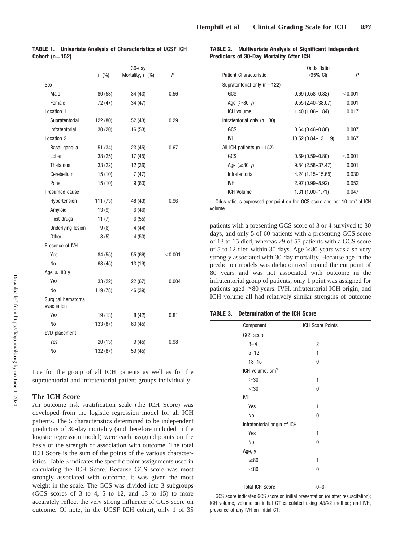|                                 |          | 30-day           |         |
|---------------------------------|----------|------------------|---------|
|                                 | $n$ (%)  | Mortality, n (%) | P       |
| Sex                             |          |                  |         |
| Male                            | 80 (53)  | 34 (43)          | 0.56    |
| Female                          | 72 (47)  | 34 (47)          |         |
| Location 1                      |          |                  |         |
| Supratentorial                  | 122 (80) | 52 (43)          | 0.29    |
| Infratentorial                  | 30(20)   | 16(53)           |         |
| Location 2                      |          |                  |         |
| Basal ganglia                   | 51(34)   | 23(45)           | 0.67    |
| Lobar                           | 38(25)   | 17(45)           |         |
| <b>Thalamus</b>                 | 33(22)   | 12 (36)          |         |
| Cerebellum                      | 15(10)   | 7(47)            |         |
| Pons                            | 15(10)   | 9(60)            |         |
| Presumed cause                  |          |                  |         |
| Hypertension                    | 111 (73) | 48 (43)          | 0.96    |
| Amyloid                         | 13(9)    | 6(46)            |         |
| <b>Illicit drugs</b>            | 11 (7)   | 6(55)            |         |
| <b>Underlying lesion</b>        | 9(6)     | 4(44)            |         |
| <b>Other</b>                    | 8(5)     | 4(50)            |         |
| Presence of IVH                 |          |                  |         |
| Yes                             | 84 (55)  | 55 (66)          | < 0.001 |
| N <sub>0</sub>                  | 68 (45)  | 13 (19)          |         |
| Age $\geq 80$ y                 |          |                  |         |
| <b>Yes</b>                      | 33(22)   | 22 (67)          | 0.004   |
| No                              | 119 (78) | 46 (39)          |         |
| Surgical hematoma<br>evacuation |          |                  |         |
| Yes                             | 19 (13)  | 8 (42)           | 0.81    |
| No                              | 133 (87) | 60 (45)          |         |
| EVD placement                   |          |                  |         |
| Yes                             | 20(13)   | 9(45)            | 0.98    |
| Nο                              | 132 (87) | 59 (45)          |         |
|                                 |          |                  |         |

**TABLE 1. Univariate Analysis of Characteristics of UCSF ICH Cohort (n=152)** 

true for the group of all ICH patients as well as for the supratentorial and infratentorial patient groups individually.

#### **The ICH Score**

An outcome risk stratification scale (the ICH Score) was developed from the logistic regression model for all ICH patients. The 5 characteristics determined to be independent predictors of 30-day mortality (and therefore included in the logistic regression model) were each assigned points on the basis of the strength of association with outcome. The total ICH Score is the sum of the points of the various characteristics. Table 3 indicates the specific point assignments used in calculating the ICH Score. Because GCS score was most strongly associated with outcome, it was given the most weight in the scale. The GCS was divided into 3 subgroups (GCS scores of 3 to 4, 5 to 12, and 13 to 15) to more accurately reflect the very strong influence of GCS score on outcome. Of note, in the UCSF ICH cohort, only 1 of 35

#### **TABLE 2. Multivariate Analysis of Significant Independent Predictors of 30-Day Mortality After ICH**

|                               | <b>Odds Ratio</b>    |         |
|-------------------------------|----------------------|---------|
| Patient Characteristic        | $(95% \text{ Cl})$   | P       |
| Supratentorial only $(n=122)$ |                      |         |
| GCS                           | $0.69(0.58 - 0.82)$  | < 0.001 |
| Age $(\geq 80 \text{ y})$     | $9.55(2.40 - 38.07)$ | 0.001   |
| ICH volume                    | $1.40(1.06 - 1.84)$  | 0.017   |
| Infratentorial only $(n=30)$  |                      |         |
| GCS                           | $0.64(0.46 - 0.88)$  | 0.007   |
| <b>IVH</b>                    | 10.52 (0.84-131.19)  | 0.067   |
| All ICH patients $(n=152)$    |                      |         |
| GCS                           | $0.69(0.59 - 0.80)$  | < 0.001 |
| Age $(\geq 80 \text{ y})$     | $9.84(2.58 - 37.47)$ | 0.001   |
| Infratentorial                | 4.24 (1.15–15.65)    | 0.030   |
| <b>IVH</b>                    | $2.97(0.99 - 8.92)$  | 0.052   |
| ICH Volume                    | $1.31(1.00 - 1.71)$  | 0.047   |

Odds ratio is expressed per point on the GCS score and per 10 cm<sup>3</sup> of ICH volume.

patients with a presenting GCS score of 3 or 4 survived to 30 days, and only 5 of 60 patients with a presenting GCS score of 13 to 15 died, whereas 29 of 57 patients with a GCS score of 5 to 12 died within 30 days. Age  $\geq$ 80 years was also very strongly associated with 30-day mortality. Because age in the prediction models was dichotomized around the cut point of 80 years and was not associated with outcome in the infratentorial group of patients, only 1 point was assigned for patients aged  $\geq$ 80 years. IVH, infratentorial ICH origin, and ICH volume all had relatively similar strengths of outcome

#### **TABLE 3. Determination of the ICH Score**

| Component                    | ICH Score Points |  |
|------------------------------|------------------|--|
| <b>GCS</b> score             |                  |  |
| $3 - 4$                      | 2                |  |
| $5 - 12$                     | 1                |  |
| $13 - 15$                    | 0                |  |
| ICH volume, cm <sup>3</sup>  |                  |  |
| $\geq 30$                    | 1                |  |
| $<$ 30                       | 0                |  |
| <b>IVH</b>                   |                  |  |
| Yes                          | 1                |  |
| No                           | $\theta$         |  |
| Infratentorial origin of ICH |                  |  |
| Yes                          | 1                |  |
| No                           | 0                |  |
| Age, y                       |                  |  |
| $\geq 80$                    | 1                |  |
| < 80                         | $\theta$         |  |
|                              |                  |  |
| <b>Total ICH Score</b>       | $0 - 6$          |  |

GCS score indicates GCS score on initial presentation (or after resuscitation); ICH volume, volume on initial CT calculated using ABC/2 method; and IVH, presence of any IVH on initial CT.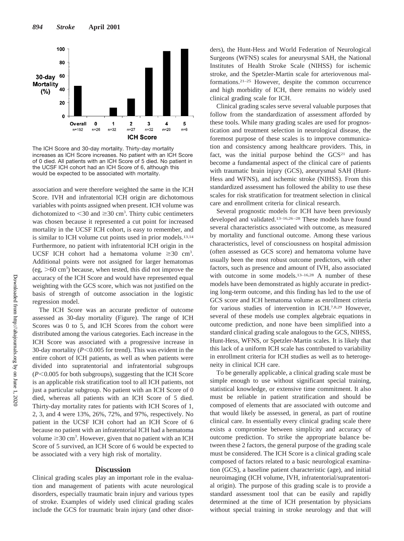

The ICH Score and 30-day mortality. Thirty-day mortality increases as ICH Score increases. No patient with an ICH Score of 0 died. All patients with an ICH Score of 5 died. No patient in the UCSF ICH cohort had an ICH Score of 6, although this would be expected to be associated with mortality.

association and were therefore weighted the same in the ICH Score. IVH and infratentorial ICH origin are dichotomous variables with points assigned when present. ICH volume was dichotomized to  $\leq 30$  and  $\geq 30$  cm<sup>3</sup>. Thirty cubic centimeters was chosen because it represented a cut point for increased mortality in the UCSF ICH cohort, is easy to remember, and is similar to ICH volume cut points used in prior models.<sup>13,14</sup> Furthermore, no patient with infratentorial ICH origin in the UCSF ICH cohort had a hematoma volume  $\geq 30$  cm<sup>3</sup>. Additional points were not assigned for larger hematomas  $(eg, >60 \text{ cm}^3)$  because, when tested, this did not improve the accuracy of the ICH Score and would have represented equal weighting with the GCS score, which was not justified on the basis of strength of outcome association in the logistic regression model.

The ICH Score was an accurate predictor of outcome assessed as 30-day mortality (Figure). The range of ICH Scores was 0 to 5, and ICH Scores from the cohort were distributed among the various categories. Each increase in the ICH Score was associated with a progressive increase in 30-day mortality  $(P<0.005$  for trend). This was evident in the entire cohort of ICH patients, as well as when patients were divided into supratentorial and infratentorial subgroups  $(P<0.005$  for both subgroups), suggesting that the ICH Score is an applicable risk stratification tool to all ICH patients, not just a particular subgroup. No patient with an ICH Score of 0 died, whereas all patients with an ICH Score of 5 died. Thirty-day mortality rates for patients with ICH Scores of 1, 2, 3, and 4 were 13%, 26%, 72%, and 97%, respectively. No patient in the UCSF ICH cohort had an ICH Score of 6 because no patient with an infratentorial ICH had a hematoma volume  $\geq$  30 cm<sup>3</sup>. However, given that no patient with an ICH Score of 5 survived, an ICH Score of 6 would be expected to be associated with a very high risk of mortality.

#### **Discussion**

Clinical grading scales play an important role in the evaluation and management of patients with acute neurological disorders, especially traumatic brain injury and various types of stroke. Examples of widely used clinical grading scales include the GCS for traumatic brain injury (and other disorders), the Hunt-Hess and World Federation of Neurological Surgeons (WFNS) scales for aneurysmal SAH, the National Institutes of Health Stroke Scale (NIHSS) for ischemic stroke, and the Spetzler-Martin scale for arteriovenous malformations.21–25 However, despite the common occurrence and high morbidity of ICH, there remains no widely used clinical grading scale for ICH.

Clinical grading scales serve several valuable purposes that follow from the standardization of assessment afforded by these tools. While many grading scales are used for prognostication and treatment selection in neurological disease, the foremost purpose of these scales is to improve communication and consistency among healthcare providers. This, in fact, was the initial purpose behind the  $GCS<sup>21</sup>$  and has become a fundamental aspect of the clinical care of patients with traumatic brain injury (GCS), aneurysmal SAH (Hunt-Hess and WFNS), and ischemic stroke (NIHSS). From this standardized assessment has followed the ability to use these scales for risk stratification for treatment selection in clinical care and enrollment criteria for clinical research.

Several prognostic models for ICH have been previously developed and validated.13–16,26–28 These models have found several characteristics associated with outcome, as measured by mortality and functional outcome. Among these various characteristics, level of consciousness on hospital admission (often assessed as GCS score) and hematoma volume have usually been the most robust outcome predictors, with other factors, such as presence and amount of IVH, also associated with outcome in some models.13–16,28 A number of these models have been demonstrated as highly accurate in predicting long-term outcome, and this finding has led to the use of GCS score and ICH hematoma volume as enrollment criteria for various studies of intervention in ICH.7,8,29 However, several of these models use complex algebraic equations in outcome prediction, and none have been simplified into a standard clinical grading scale analogous to the GCS, NIHSS, Hunt-Hess, WFNS, or Spetzler-Martin scales. It is likely that this lack of a uniform ICH scale has contributed to variability in enrollment criteria for ICH studies as well as to heterogeneity in clinical ICH care.

To be generally applicable, a clinical grading scale must be simple enough to use without significant special training, statistical knowledge, or extensive time commitment. It also must be reliable in patient stratification and should be composed of elements that are associated with outcome and that would likely be assessed, in general, as part of routine clinical care. In essentially every clinical grading scale there exists a compromise between simplicity and accuracy of outcome prediction. To strike the appropriate balance between these 2 factors, the general purpose of the grading scale must be considered. The ICH Score is a clinical grading scale composed of factors related to a basic neurological examination (GCS), a baseline patient characteristic (age), and initial neuroimaging (ICH volume, IVH, infratentorial/supratentorial origin). The purpose of this grading scale is to provide a standard assessment tool that can be easily and rapidly determined at the time of ICH presentation by physicians without special training in stroke neurology and that will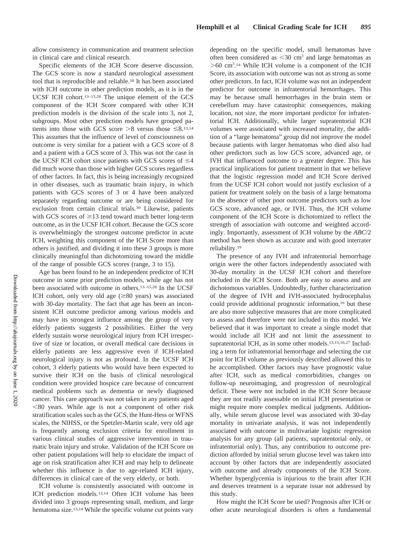allow consistency in communication and treatment selection in clinical care and clinical research.

Specific elements of the ICH Score deserve discussion. The GCS score is now a standard neurological assessment tool that is reproducible and reliable.18 It has been associated with ICH outcome in other prediction models, as it is in the UCSF ICH cohort.13–15,28 The unique element of the GCS component of the ICH Score compared with other ICH prediction models is the division of the scale into 3, not 2, subgroups. Most other prediction models have grouped patients into those with GCS score  $>8$  versus those  $\leq 8.13,14$ This assumes that the influence of level of consciousness on outcome is very similar for a patient with a GCS score of 8 and a patient with a GCS score of 3. This was not the case in the UCSF ICH cohort since patients with GCS scores of  $\leq 4$ did much worse than those with higher GCS scores regardless of other factors. In fact, this is being increasingly recognized in other diseases, such as traumatic brain injury, in which patients with GCS scores of 3 or 4 have been analyzed separately regarding outcome or are being considered for exclusion from certain clinical trials.30 Likewise, patients with GCS scores of  $\geq$ 13 tend toward much better long-term outcome, as in the UCSF ICH cohort. Because the GCS score is overwhelmingly the strongest outcome predictor in acute ICH, weighting this component of the ICH Score more than others is justified, and dividing it into these 3 groups is more clinically meaningful than dichotomizing toward the middle of the range of possible GCS scores (range, 3 to 15).

Age has been found to be an independent predictor of ICH outcome in some prior prediction models, while age has not been associated with outcome in others.13–15,28 In the UCSF ICH cohort, only very old age  $(\geq 80 \text{ years})$  was associated with 30-day mortality. The fact that age has been an inconsistent ICH outcome predictor among various models and may have its strongest influence among the group of very elderly patients suggests 2 possibilities. Either the very elderly sustain worse neurological injury from ICH irrespective of size or location, or overall medical care decisions in elderly patients are less aggressive even if ICH-related neurological injury is not as profound. In the UCSF ICH cohort, 3 elderly patients who would have been expected to survive their ICH on the basis of clinical neurological condition were provided hospice care because of concurrent medical problems such as dementia or newly diagnosed cancer. This care approach was not taken in any patients aged  $<$ 80 years. While age is not a component of other risk stratification scales such as the GCS, the Hunt-Hess or WFNS scales, the NIHSS, or the Spetzler-Martin scale, very old age is frequently among exclusion criteria for enrollment in various clinical studies of aggressive intervention in traumatic brain injury and stroke. Validation of the ICH Score on other patient populations will help to elucidate the impact of age on risk stratification after ICH and may help to delineate whether this influence is due to age-related ICH injury, differences in clinical care of the very elderly, or both.

ICH volume is consistently associated with outcome in ICH prediction models.13,14 Often ICH volume has been divided into 3 groups representing small, medium, and large hematoma size.13,14 While the specific volume cut points vary

depending on the specific model, small hematomas have often been considered as  $\leq 30$  cm<sup>3</sup> and large hematomas as >60 cm<sup>3</sup>.<sup>14</sup> While ICH volume is a component of the ICH Score, its association with outcome was not as strong as some other predictors. In fact, ICH volume was not an independent predictor for outcome in infratentorial hemorrhages. This may be because small hemorrhages in the brain stem or cerebellum may have catastrophic consequences, making location, not size, the more important predictor for infratentorial ICH. Additionally, while larger supratentorial ICH volumes were associated with increased mortality, the addition of a "large hematoma" group did not improve the model because patients with larger hematomas who died also had other predictors such as low GCS score, advanced age, or IVH that influenced outcome to a greater degree. This has practical implications for patient treatment in that we believe that the logistic regression model and ICH Score derived from the UCSF ICH cohort would not justify exclusion of a patient for treatment solely on the basis of a large hematoma in the absence of other poor outcome predictors such as low GCS score, advanced age, or IVH. Thus, the ICH volume component of the ICH Score is dichotomized to reflect the strength of association with outcome and weighted accordingly. Importantly, assessment of ICH volume by the *ABC*/2 method has been shown as accurate and with good interrater reliability.19

The presence of any IVH and infratentorial hemorrhage origin were the other factors independently associated with 30-day mortality in the UCSF ICH cohort and therefore included in the ICH Score. Both are easy to assess and are dichotomous variables. Undoubtedly, further characterization of the degree of IVH and IVH-associated hydrocephalus could provide additional prognostic information,<sup>16</sup> but these are also more subjective measures that are more complicated to assess and therefore were not included in this model. We believed that it was important to create a single model that would include all ICH and not limit the assessment to supratentorial ICH, as in some other models.<sup>13,15,16,27</sup> Including a term for infratentorial hemorrhage and selecting the cut point for ICH volume as previously described allowed this to be accomplished. Other factors may have prognostic value after ICH, such as medical comorbidities, changes on follow-up neuroimaging, and progression of neurological deficit. These were not included in the ICH Score because they are not readily assessable on initial ICH presentation or might require more complex medical judgments. Additionally, while serum glucose level was associated with 30-day mortality in univariate analysis, it was not independently associated with outcome in multivariate logistic regression analysis for any group (all patients, supratentorial only, or infratentorial only). Thus, any contribution to outcome prediction afforded by initial serum glucose level was taken into account by other factors that are independently associated with outcome and already components of the ICH Score. Whether hyperglycemia is injurious to the brain after ICH and deserves treatment is a separate issue not addressed by this study.

How might the ICH Score be used? Prognosis after ICH or other acute neurological disorders is often a fundamental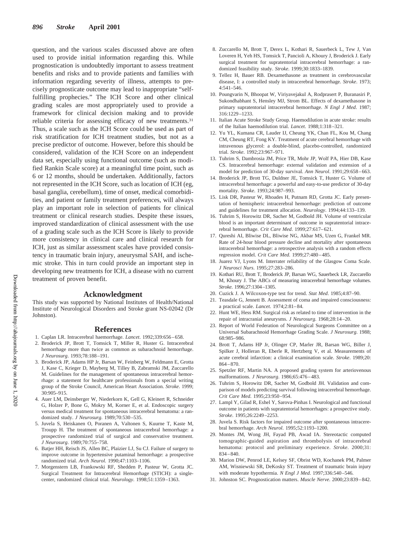question, and the various scales discussed above are often used to provide initial information regarding this. While prognostication is undoubtedly important to assess treatment benefits and risks and to provide patients and families with information regarding severity of illness, attempts to precisely prognosticate outcome may lead to inappropriate "selffulfilling prophecies." The ICH Score and other clinical grading scales are most appropriately used to provide a framework for clinical decision making and to provide reliable criteria for assessing efficacy of new treatments.31 Thus, a scale such as the ICH Score could be used as part of risk stratification for ICH treatment studies, but not as a precise predictor of outcome. However, before this should be considered, validation of the ICH Score on an independent data set, especially using functional outcome (such as modified Rankin Scale score) at a meaningful time point, such as 6 or 12 months, should be undertaken. Additionally, factors not represented in the ICH Score, such as location of ICH (eg, basal ganglia, cerebellum), time of onset, medical comorbidities, and patient or family treatment preferences, will always play an important role in selection of patients for clinical treatment or clinical research studies. Despite these issues, improved standardization of clinical assessment with the use of a grading scale such as the ICH Score is likely to provide more consistency in clinical care and clinical research for ICH, just as similar assessment scales have provided consistency in traumatic brain injury, aneurysmal SAH, and ischemic stroke. This in turn could provide an important step in developing new treatments for ICH, a disease with no current treatment of proven benefit.

#### **Acknowledgment**

This study was supported by National Institutes of Health/National Institute of Neurological Disorders and Stroke grant NS-02042 (Dr Johnston).

#### **References**

- 1. Caplan LR. Intracerebral haemorrhage. *Lancet*. 1992;339:656–658.
- 2. Broderick JP, Brott T, Tomsick T, Miller R, Huster G. Intracerebral hemorrhage more than twice as common as subarachnoid hemorrhage. *J Neurosurg*. 1993;78:188–191.
- 3. Broderick JP, Adams HP Jr, Barsan W, Feinberg W, Feldmann E, Grotta J, Kase C, Krieger D, Mayberg M, Tilley B, Zabramski JM, Zuccarello M. Guidelines for the management of spontaneous intracerebral hemorrhage: a statement for healthcare professionals from a special writing group of the Stroke Council, American Heart Association. *Stroke*. 1999; 30:905–915.
- 4. Auer LM, Deinsberger W, Niederkorn K, Gell G, Kleinert R, Schneider G, Holzer P, Bone G, Mokry M, Korner E, et al. Endoscopic surgery versus medical treatment for spontaneous intracerebral hematoma: a randomized study. *J Neurosurg*. 1989;70:530–535.
- 5. Juvela S, Heiskanen O, Poranen A, Valtonen S, Kuurne T, Kaste M, Troupp H. The treatment of spontaneous intracerebral hemorrhage: a prospective randomized trial of surgical and conservative treatment. *J Neurosurg*. 1989;70:755–758.
- 6. Batjer HH, Reisch JS, Allen BC, Plaizier LJ, Su CJ. Failure of surgery to improve outcome in hypertensive putaminal hemorrhage: a prospective randomized trial. *Arch Neurol*. 1990;47:1103–1106.
- 7. Morgenstern LB, Frankowski RF, Shedden P, Pasteur W, Grotta JC. Surgical Treatment for Intracerebral Hemorrhage (STICH): a singlecenter, randomized clinical trial. *Neurology*. 1998;51:1359–1363.
- 8. Zuccarello M, Brott T, Derex L, Kothari R, Sauerbeck L, Tew J, Van Loveren H, Yeh HS, Tomsick T, Pancioli A, Khoury J, Broderick J. Early surgical treatment for supratentorial intracerebral hemorrhage: a randomized feasibility study. *Stroke*. 1999;30:1833–1839.
- 9. Tellez H, Bauer RB. Dexamethasone as treatment in cerebrovascular disease, I: a controlled study in intracerebral hemorrhage. *Stroke*. 1973; 4:541–546.
- 10. Poungvarin N, Bhoopat W, Viriyavejakul A, Rodprasert P, Buranasiri P, Sukondhabhant S, Hensley MJ, Strom BL. Effects of dexamethasone in primary supratentorial intracerebral hemorrhage. *N Engl J Med*. 1987; 316:1229–1233.
- 11. Italian Acute Stroke Study Group. Haemodilution in acute stroke: results of the Italian haemodilution trial. *Lancet*. 1988;1:318–321.
- 12. Yu YL, Kumana CR, Lauder IJ, Cheung YK, Chan FL, Kou M, Chang CM, Cheung RT, Fong KY. Treatment of acute cerebral hemorrhage with intravenous glycerol: a double-blind, placebo-controlled, randomized trial. *Stroke*. 1992;23:967–971.
- 13. Tuhrim S, Dambrosia JM, Price TR, Mohr JP, Wolf PA, Hier DB, Kase CS. Intracerebral hemorrhage: external validation and extension of a model for prediction of 30-day survival. *Ann Neurol*. 1991;29:658–663.
- 14. Broderick JP, Brott TG, Duldner JE, Tomsick T, Huster G. Volume of intracerebral hemorrhage: a powerful and easy-to-use predictor of 30-day mortality. *Stroke*. 1993;24:987–993.
- 15. Lisk DR, Pasteur W, Rhoades H, Putnam RD, Grotta JC. Early presentation of hemispheric intracerebral hemorrhage: prediction of outcome and guidelines for treatment allocation. *Neurology*. 1994;44:133–139.
- 16. Tuhrim S, Horowitz DR, Sacher M, Godbold JH. Volume of ventricular blood is an important determinant of outcome in supratentorial intracerebral hemorrhage. *Crit Care Med*. 1999;27:617–621.
- 17. Qureshi AI, Bliwise DL, Bliwise NG, Akbar MS, Uzen G, Frankel MR. Rate of 24-hour blood pressure decline and mortality after spontaneous intracerebral hemorrhage: a retrospective analysis with a random effects regression model. *Crit Care Med*. 1999;27:480–485.
- 18. Juarez VJ, Lyons M. Interrater reliability of the Glasgow Coma Scale. *J Neurosci Nurs*. 1995;27:283–286.
- 19. Kothari RU, Brott T, Broderick JP, Barsan WG, Sauerbeck LR, Zuccarello M, Khoury J. The ABCs of measuring intracerebral hemorrhage volumes. *Stroke*. 1996;27:1304–1305.
- 20. Cuzick J. A Wilcoxon-type test for trend. *Stat Med*. 1985;4:87–90.
- 21. Teasdale G, Jennett B. Assessment of coma and impaired consciousness: a practical scale. *Lancet*. 1974;2:81–84.
- 22. Hunt WE, Hess RM. Surgical risk as related to time of intervention in the repair of intracranial aneurysms. *J Neurosurg*. 1968;28:14–20.
- 23. Report of World Federation of Neurological Surgeons Committee on a Universal Subarachnoid Hemorrhage Grading Scale. *J Neurosurg*. 1988; 68:985–986.
- 24. Brott T, Adams HP Jr, Olinger CP, Marler JR, Barsan WG, Biller J, Spilker J, Holleran R, Eberle R, Hertzberg V, et al. Measurements of acute cerebral infarction: a clinical examination scale. *Stroke*. 1989;20: 864–870.
- 25. Spetzler RF, Martin NA. A proposed grading system for arteriovenous malformations. *J Neurosurg*. 1986;65:476–483.
- 26. Tuhrim S, Horowitz DR, Sacher M, Godbold JH. Validation and comparison of models predicting survival following intracerebral hemorrhage. *Crit Care Med*. 1995;23:950–954.
- 27. Lampl Y, Gilad R, Eshel Y, Sarova-Pinhas I. Neurological and functional outcome in patients with supratentorial hemorrhages: a prospective study. *Stroke*. 1995;26:2249–2253.
- 28. Juvela S. Risk factors for impaired outcome after spontaneous intracerebral hemorrhage. *Arch Neurol*. 1995;52:1193–1200.
- 29. Montes JM, Wong JH, Fayad PB, Awad IA. Stereotactic computed tomographic-guided aspiration and thrombolysis of intracerebral hematoma: protocol and preliminary experience. *Stroke*. 2000;31: 834–840.
- 30. Marion DW, Penrod LE, Kelsey SF, Obrist WD, Kochanek PM, Palmer AM, Wisniewski SR, DeKosky ST. Treatment of traumatic brain injury with moderate hypothermia. *N Engl J Med*. 1997;336:540–546.
- 31. Johnston SC. Prognostication matters. *Muscle Nerve*. 2000;23:839–842.